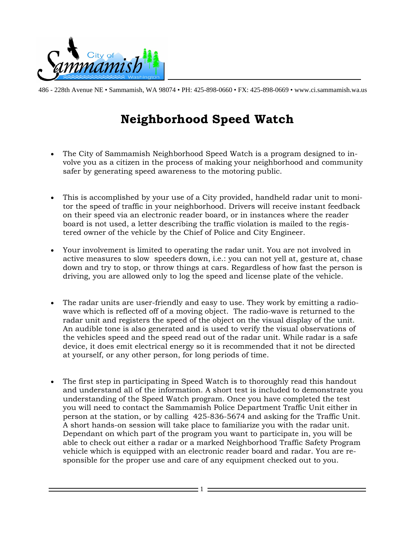

# **Neighborhood Speed Watch**

- The City of Sammamish Neighborhood Speed Watch is a program designed to involve you as a citizen in the process of making your neighborhood and community safer by generating speed awareness to the motoring public.
- This is accomplished by your use of a City provided, handheld radar unit to monitor the speed of traffic in your neighborhood. Drivers will receive instant feedback on their speed via an electronic reader board, or in instances where the reader board is not used, a letter describing the traffic violation is mailed to the registered owner of the vehicle by the Chief of Police and City Engineer.
- Your involvement is limited to operating the radar unit. You are not involved in active measures to slow speeders down, i.e.: you can not yell at, gesture at, chase down and try to stop, or throw things at cars. Regardless of how fast the person is driving, you are allowed only to log the speed and license plate of the vehicle.
- The radar units are user-friendly and easy to use. They work by emitting a radiowave which is reflected off of a moving object. The radio-wave is returned to the radar unit and registers the speed of the object on the visual display of the unit. An audible tone is also generated and is used to verify the visual observations of the vehicles speed and the speed read out of the radar unit. While radar is a safe device, it does emit electrical energy so it is recommended that it not be directed at yourself, or any other person, for long periods of time.
- The first step in participating in Speed Watch is to thoroughly read this handout and understand all of the information. A short test is included to demonstrate you understanding of the Speed Watch program. Once you have completed the test you will need to contact the Sammamish Police Department Traffic Unit either in person at the station, or by calling 425-836-5674 and asking for the Traffic Unit. A short hands-on session will take place to familiarize you with the radar unit. Dependant on which part of the program you want to participate in, you will be able to check out either a radar or a marked Neighborhood Traffic Safety Program vehicle which is equipped with an electronic reader board and radar. You are responsible for the proper use and care of any equipment checked out to you.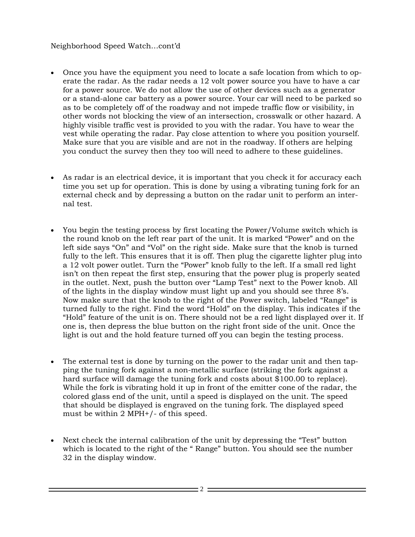#### Neighborhood Speed Watch…cont'd

- Once you have the equipment you need to locate a safe location from which to operate the radar. As the radar needs a 12 volt power source you have to have a car for a power source. We do not allow the use of other devices such as a generator or a stand-alone car battery as a power source. Your car will need to be parked so as to be completely off of the roadway and not impede traffic flow or visibility, in other words not blocking the view of an intersection, crosswalk or other hazard. A highly visible traffic vest is provided to you with the radar. You have to wear the vest while operating the radar. Pay close attention to where you position yourself. Make sure that you are visible and are not in the roadway. If others are helping you conduct the survey then they too will need to adhere to these guidelines.
- As radar is an electrical device, it is important that you check it for accuracy each time you set up for operation. This is done by using a vibrating tuning fork for an external check and by depressing a button on the radar unit to perform an internal test.
- You begin the testing process by first locating the Power/Volume switch which is the round knob on the left rear part of the unit. It is marked "Power" and on the left side says "On" and "Vol" on the right side. Make sure that the knob is turned fully to the left. This ensures that it is off. Then plug the cigarette lighter plug into a 12 volt power outlet. Turn the "Power" knob fully to the left. If a small red light isn't on then repeat the first step, ensuring that the power plug is properly seated in the outlet. Next, push the button over "Lamp Test" next to the Power knob. All of the lights in the display window must light up and you should see three 8's. Now make sure that the knob to the right of the Power switch, labeled "Range" is turned fully to the right. Find the word "Hold" on the display. This indicates if the "Hold" feature of the unit is on. There should not be a red light displayed over it. If one is, then depress the blue button on the right front side of the unit. Once the light is out and the hold feature turned off you can begin the testing process.
- The external test is done by turning on the power to the radar unit and then tapping the tuning fork against a non-metallic surface (striking the fork against a hard surface will damage the tuning fork and costs about \$100.00 to replace). While the fork is vibrating hold it up in front of the emitter cone of the radar, the colored glass end of the unit, until a speed is displayed on the unit. The speed that should be displayed is engraved on the tuning fork. The displayed speed must be within 2 MPH+/- of this speed.
- Next check the internal calibration of the unit by depressing the "Test" button which is located to the right of the " Range" button. You should see the number 32 in the display window.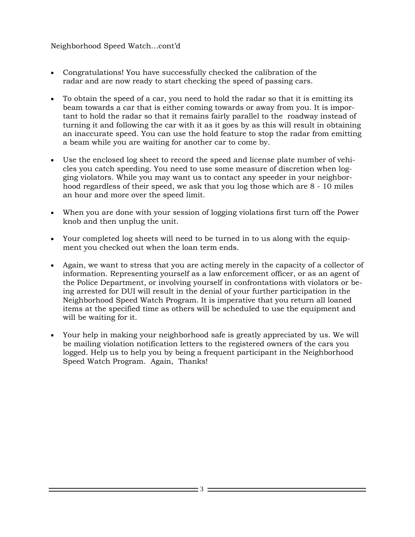#### Neighborhood Speed Watch…cont'd

- Congratulations! You have successfully checked the calibration of the radar and are now ready to start checking the speed of passing cars.
- To obtain the speed of a car, you need to hold the radar so that it is emitting its beam towards a car that is either coming towards or away from you. It is important to hold the radar so that it remains fairly parallel to the roadway instead of turning it and following the car with it as it goes by as this will result in obtaining an inaccurate speed. You can use the hold feature to stop the radar from emitting a beam while you are waiting for another car to come by.
- Use the enclosed log sheet to record the speed and license plate number of vehicles you catch speeding. You need to use some measure of discretion when logging violators. While you may want us to contact any speeder in your neighborhood regardless of their speed, we ask that you log those which are 8 - 10 miles an hour and more over the speed limit.
- When you are done with your session of logging violations first turn off the Power knob and then unplug the unit.
- Your completed log sheets will need to be turned in to us along with the equipment you checked out when the loan term ends.
- Again, we want to stress that you are acting merely in the capacity of a collector of information. Representing yourself as a law enforcement officer, or as an agent of the Police Department, or involving yourself in confrontations with violators or being arrested for DUI will result in the denial of your further participation in the Neighborhood Speed Watch Program. It is imperative that you return all loaned items at the specified time as others will be scheduled to use the equipment and will be waiting for it.
- Your help in making your neighborhood safe is greatly appreciated by us. We will be mailing violation notification letters to the registered owners of the cars you logged. Help us to help you by being a frequent participant in the Neighborhood Speed Watch Program. Again, Thanks!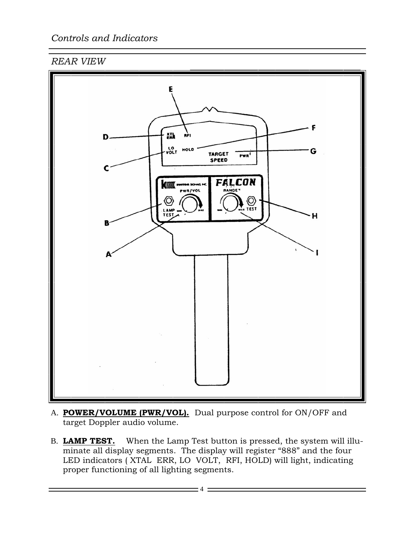### *Controls and Indicators*

### *REAR VIEW*



- A. **POWER/VOLUME (PWR/VOL).** Dual purpose control for ON/OFF and target Doppler audio volume.
- B. **LAMP TEST.** When the Lamp Test button is pressed, the system will illuminate all display segments. The display will register "888" and the four LED indicators (XTAL ERR, LO VOLT, RFI, HOLD) will light, indicating proper functioning of all lighting segments.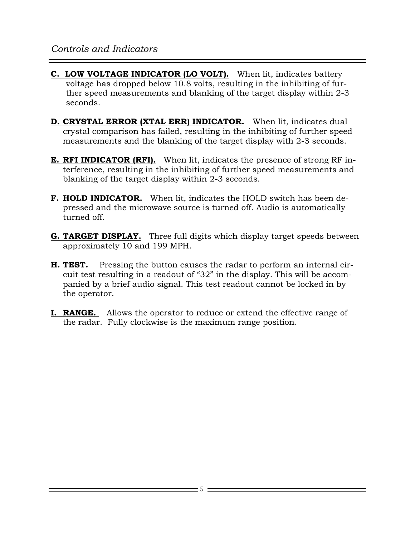- **C. LOW VOLTAGE INDICATOR (LO VOLT).** When lit, indicates battery voltage has dropped below 10.8 volts, resulting in the inhibiting of further speed measurements and blanking of the target display within 2-3 seconds.
- **D. CRYSTAL ERROR (XTAL ERR) INDICATOR.** When lit, indicates dual crystal comparison has failed, resulting in the inhibiting of further speed measurements and the blanking of the target display with 2-3 seconds.
- **E. RFI INDICATOR (RFI).** When lit, indicates the presence of strong RF interference, resulting in the inhibiting of further speed measurements and blanking of the target display within 2-3 seconds.
- **F. HOLD INDICATOR.** When lit, indicates the HOLD switch has been depressed and the microwave source is turned off. Audio is automatically turned off.
- **G. TARGET DISPLAY.** Three full digits which display target speeds between approximately 10 and 199 MPH.
- **H. TEST.** Pressing the button causes the radar to perform an internal circuit test resulting in a readout of "32" in the display. This will be accompanied by a brief audio signal. This test readout cannot be locked in by the operator.
- **I. RANGE.** Allows the operator to reduce or extend the effective range of the radar. Fully clockwise is the maximum range position.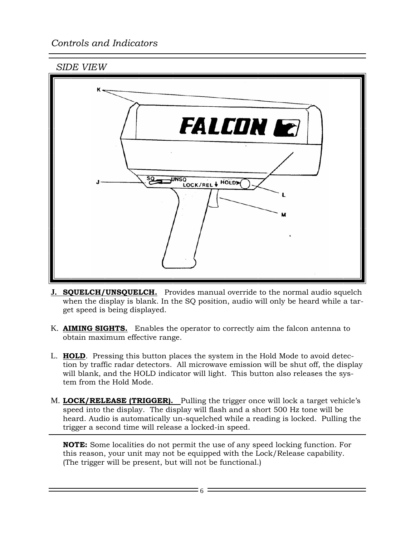## *Controls and Indicators*





- **J. SQUELCH/UNSQUELCH.** Provides manual override to the normal audio squelch when the display is blank. In the SQ position, audio will only be heard while a target speed is being displayed.
- K. **AIMING SIGHTS.** Enables the operator to correctly aim the falcon antenna to obtain maximum effective range.
- L. **HOLD**. Pressing this button places the system in the Hold Mode to avoid detection by traffic radar detectors. All microwave emission will be shut off, the display will blank, and the HOLD indicator will light. This button also releases the system from the Hold Mode.
- M. **LOCK/RELEASE (TRIGGER).** Pulling the trigger once will lock a target vehicle's speed into the display. The display will flash and a short 500 Hz tone will be heard. Audio is automatically un-squelched while a reading is locked. Pulling the trigger a second time will release a locked-in speed.

**NOTE:** Some localities do not permit the use of any speed locking function. For this reason, your unit may not be equipped with the Lock/Release capability. (The trigger will be present, but will not be functional.)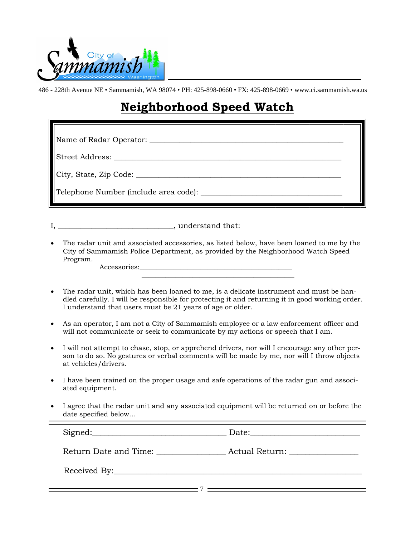

# **Neighborhood Speed Watch**

| Name of Radar Operator:                    |  |  |  |  |
|--------------------------------------------|--|--|--|--|
|                                            |  |  |  |  |
| City, State, Zip Code:                     |  |  |  |  |
| Telephone Number (include area code): ____ |  |  |  |  |

I, https://www.fat.com/induction/induction/induction/induction/induction/induction/induction/induction/induction/induction/induction/induction/induction/induction/induction/induction/induction/induction/induction/induction

 $\mathcal{L}_\text{max} = \mathcal{L}_\text{max} = \mathcal{L}_\text{max} = \mathcal{L}_\text{max} = \mathcal{L}_\text{max} = \mathcal{L}_\text{max} = \mathcal{L}_\text{max}$ 

• The radar unit and associated accessories, as listed below, have been loaned to me by the City of Sammamish Police Department, as provided by the Neighborhood Watch Speed Program. Accessories:

• The radar unit, which has been loaned to me, is a delicate instrument and must be handled carefully. I will be responsible for protecting it and returning it in good working order. I understand that users must be 21 years of age or older.

- As an operator, I am not a City of Sammamish employee or a law enforcement officer and will not communicate or seek to communicate by my actions or speech that I am.
- I will not attempt to chase, stop, or apprehend drivers, nor will I encourage any other person to do so. No gestures or verbal comments will be made by me, nor will I throw objects at vehicles/drivers.
- I have been trained on the proper usage and safe operations of the radar gun and associated equipment.
- I agree that the radar unit and any associated equipment will be returned on or before the date specified below…

Signed:\_\_\_\_\_\_\_\_\_\_\_\_\_\_\_\_\_\_\_\_\_\_\_\_\_\_\_\_\_\_\_\_\_ Date:\_\_\_\_\_\_\_\_\_\_\_\_\_\_\_\_\_\_\_\_\_\_\_\_\_\_\_ Return Date and Time:  $\begin{array}{ccc} \text{Actual Return:} \end{array}$ Received By: <u>2003 - 2004 - 2005 - 2006 - 2007 - 2008 - 2009 - 2009 - 2009 - 2009 - 2009 - 2009 - 2009 - 2009 - 2009 - 2009 - 20</u>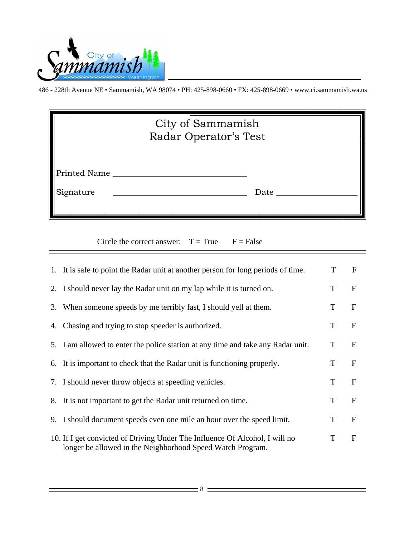

| City of Sammamish<br>Radar Operator's Test |  |      |  |  |  |  |
|--------------------------------------------|--|------|--|--|--|--|
| Printed Name                               |  |      |  |  |  |  |
| Signature                                  |  | Date |  |  |  |  |

Circle the correct answer:  $T = True$   $F = False$ 

| 1. It is safe to point the Radar unit at another person for long periods of time.                                                         | T | $\mathbf F$  |
|-------------------------------------------------------------------------------------------------------------------------------------------|---|--------------|
| 2. I should never lay the Radar unit on my lap while it is turned on.                                                                     | T | $\mathbf{F}$ |
| 3. When someone speeds by me terribly fast, I should yell at them.                                                                        | T | $\mathbf{F}$ |
| 4. Chasing and trying to stop speeder is authorized.                                                                                      | T | $\mathbf{F}$ |
| 5. I am allowed to enter the police station at any time and take any Radar unit.                                                          | T | $\mathbf{F}$ |
| 6. It is important to check that the Radar unit is functioning properly.                                                                  | T | $\mathbf{F}$ |
| 7. I should never throw objects at speeding vehicles.                                                                                     | T | $\mathbf{F}$ |
| 8. It is not important to get the Radar unit returned on time.                                                                            | T | $\mathbf{F}$ |
| 9. I should document speeds even one mile an hour over the speed limit.                                                                   | T | $\mathbf{F}$ |
| 10. If I get convicted of Driving Under The Influence Of Alcohol, I will no<br>longer be allowed in the Neighborhood Speed Watch Program. | T | $\mathbf{F}$ |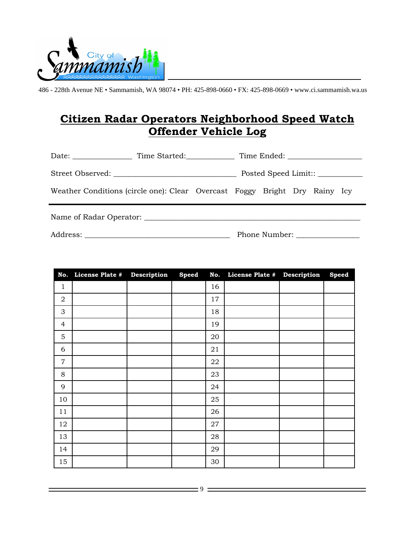

## **Citizen Radar Operators Neighborhood Speed Watch Offender Vehicle Log**

|                                                                            | Time Started: |  |  |  |  |  |
|----------------------------------------------------------------------------|---------------|--|--|--|--|--|
|                                                                            |               |  |  |  |  |  |
| Weather Conditions (circle one): Clear Overcast Foggy Bright Dry Rainy Icy |               |  |  |  |  |  |
|                                                                            |               |  |  |  |  |  |

Address: \_\_\_\_\_\_\_\_\_\_\_\_\_\_\_\_\_\_\_\_\_\_\_\_\_\_\_\_\_\_\_\_\_\_\_\_\_\_\_ Phone Number: \_\_\_\_\_\_\_\_\_\_\_\_\_\_\_\_\_

| No.            | License Plate # Description | Speed | No. | License Plate # Description | <b>Speed</b> |
|----------------|-----------------------------|-------|-----|-----------------------------|--------------|
| $\mathbf 1$    |                             |       | 16  |                             |              |
| $\overline{2}$ |                             |       | 17  |                             |              |
| 3              |                             |       | 18  |                             |              |
| 4              |                             |       | 19  |                             |              |
| $\mathbf 5$    |                             |       | 20  |                             |              |
| 6              |                             |       | 21  |                             |              |
| $\overline{7}$ |                             |       | 22  |                             |              |
| 8              |                             |       | 23  |                             |              |
| 9              |                             |       | 24  |                             |              |
| 10             |                             |       | 25  |                             |              |
| 11             |                             |       | 26  |                             |              |
| 12             |                             |       | 27  |                             |              |
| 13             |                             |       | 28  |                             |              |
| 14             |                             |       | 29  |                             |              |
| 15             |                             |       | 30  |                             |              |